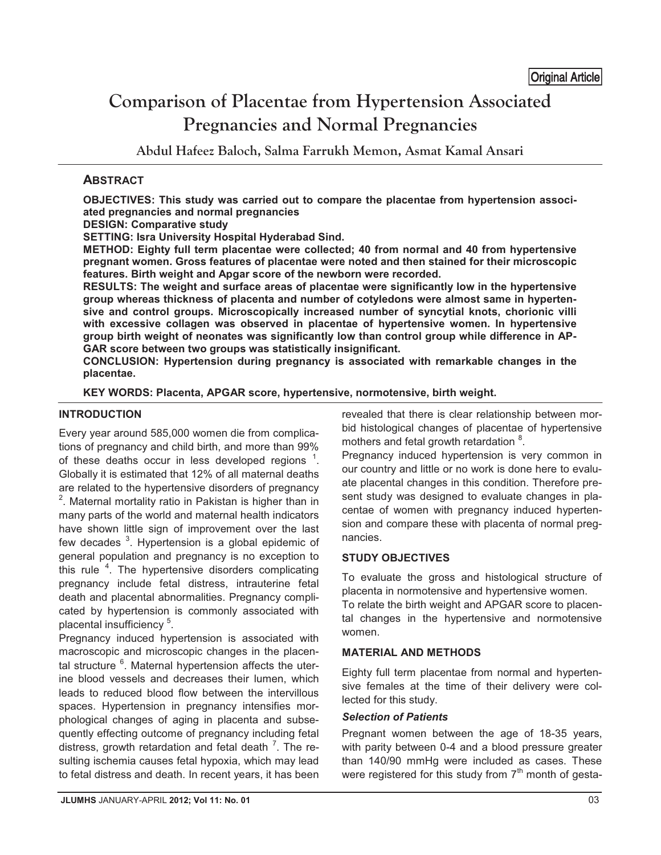# **Comparison of Placentae from Hypertension Associated Pregnancies and Normal Pregnancies**

**Abdul Hafeez Baloch, Salma Farrukh Memon, Asmat Kamal Ansari** 

# **ABSTRACT**

**OBJECTIVES: This study was carried out to compare the placentae from hypertension associated pregnancies and normal pregnancies** 

**DESIGN: Comparative study** 

**SETTING: Isra University Hospital Hyderabad Sind.** 

**METHOD: Eighty full term placentae were collected; 40 from normal and 40 from hypertensive pregnant women. Gross features of placentae were noted and then stained for their microscopic features. Birth weight and Apgar score of the newborn were recorded.** 

**RESULTS: The weight and surface areas of placentae were significantly low in the hypertensive group whereas thickness of placenta and number of cotyledons were almost same in hypertensive and control groups. Microscopically increased number of syncytial knots, chorionic villi with excessive collagen was observed in placentae of hypertensive women. In hypertensive group birth weight of neonates was significantly low than control group while difference in AP-GAR score between two groups was statistically insignificant.** 

**CONCLUSION: Hypertension during pregnancy is associated with remarkable changes in the placentae.** 

**KEY WORDS: Placenta, APGAR score, hypertensive, normotensive, birth weight.** 

### **INTRODUCTION**

Every year around 585,000 women die from complications of pregnancy and child birth, and more than 99% of these deaths occur in less developed regions<sup>1</sup> . Globally it is estimated that 12% of all maternal deaths are related to the hypertensive disorders of pregnancy  $2$ . Maternal mortality ratio in Pakistan is higher than in many parts of the world and maternal health indicators have shown little sign of improvement over the last few decades <sup>3</sup>. Hypertension is a global epidemic of general population and pregnancy is no exception to this rule <sup>4</sup>. The hypertensive disorders complicating pregnancy include fetal distress, intrauterine fetal death and placental abnormalities. Pregnancy complicated by hypertension is commonly associated with placental insufficiency<sup>5</sup>.

Pregnancy induced hypertension is associated with macroscopic and microscopic changes in the placental structure <sup>6</sup>. Maternal hypertension affects the uterine blood vessels and decreases their lumen, which leads to reduced blood flow between the intervillous spaces. Hypertension in pregnancy intensifies morphological changes of aging in placenta and subsequently effecting outcome of pregnancy including fetal distress, growth retardation and fetal death <sup>7</sup>. The resulting ischemia causes fetal hypoxia, which may lead to fetal distress and death. In recent years, it has been revealed that there is clear relationship between morbid histological changes of placentae of hypertensive mothers and fetal growth retardation <sup>8</sup>.

Pregnancy induced hypertension is very common in our country and little or no work is done here to evaluate placental changes in this condition. Therefore present study was designed to evaluate changes in placentae of women with pregnancy induced hypertension and compare these with placenta of normal pregnancies.

# **STUDY OBJECTIVES**

To evaluate the gross and histological structure of placenta in normotensive and hypertensive women.

To relate the birth weight and APGAR score to placental changes in the hypertensive and normotensive women.

# **MATERIAL AND METHODS**

Eighty full term placentae from normal and hypertensive females at the time of their delivery were collected for this study.

#### *Selection of Patients*

Pregnant women between the age of 18-35 years, with parity between 0-4 and a blood pressure greater than 140/90 mmHg were included as cases. These were registered for this study from  $7<sup>th</sup>$  month of gesta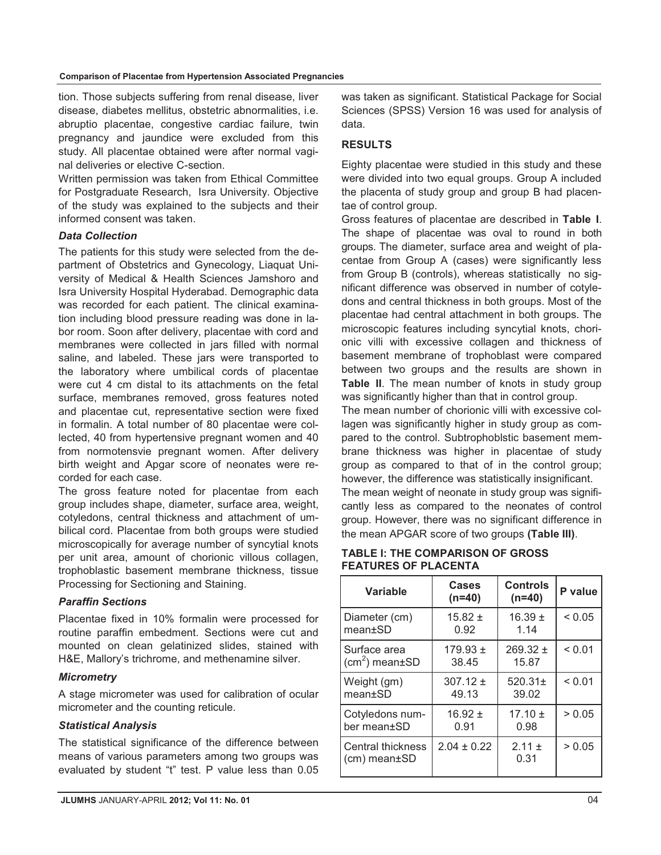tion. Those subjects suffering from renal disease, liver disease, diabetes mellitus, obstetric abnormalities, i.e. abruptio placentae, congestive cardiac failure, twin pregnancy and jaundice were excluded from this study. All placentae obtained were after normal vaginal deliveries or elective C-section.

Written permission was taken from Ethical Committee for Postgraduate Research, Isra University. Objective of the study was explained to the subjects and their informed consent was taken.

#### *Data Collection*

The patients for this study were selected from the department of Obstetrics and Gynecology, Liaquat University of Medical & Health Sciences Jamshoro and Isra University Hospital Hyderabad. Demographic data was recorded for each patient. The clinical examination including blood pressure reading was done in labor room. Soon after delivery, placentae with cord and membranes were collected in jars filled with normal saline, and labeled. These jars were transported to the laboratory where umbilical cords of placentae were cut 4 cm distal to its attachments on the fetal surface, membranes removed, gross features noted and placentae cut, representative section were fixed in formalin. A total number of 80 placentae were collected, 40 from hypertensive pregnant women and 40 from normotensvie pregnant women. After delivery birth weight and Apgar score of neonates were recorded for each case.

The gross feature noted for placentae from each group includes shape, diameter, surface area, weight, cotyledons, central thickness and attachment of umbilical cord. Placentae from both groups were studied microscopically for average number of syncytial knots per unit area, amount of chorionic villous collagen, trophoblastic basement membrane thickness, tissue Processing for Sectioning and Staining.

#### *Paraffin Sections*

Placentae fixed in 10% formalin were processed for routine paraffin embedment. Sections were cut and mounted on clean gelatinized slides, stained with H&E, Mallory's trichrome, and methenamine silver.

#### *Micrometry*

A stage micrometer was used for calibration of ocular micrometer and the counting reticule.

#### *Statistical Analysis*

The statistical significance of the difference between means of various parameters among two groups was evaluated by student "t" test. P value less than 0.05

was taken as significant. Statistical Package for Social Sciences (SPSS) Version 16 was used for analysis of data.

### **RESULTS**

Eighty placentae were studied in this study and these were divided into two equal groups. Group A included the placenta of study group and group B had placentae of control group.

Gross features of placentae are described in **Table I**. The shape of placentae was oval to round in both groups. The diameter, surface area and weight of placentae from Group A (cases) were significantly less from Group B (controls), whereas statistically no significant difference was observed in number of cotyledons and central thickness in both groups. Most of the placentae had central attachment in both groups. The microscopic features including syncytial knots, chorionic villi with excessive collagen and thickness of basement membrane of trophoblast were compared between two groups and the results are shown in **Table II**. The mean number of knots in study group was significantly higher than that in control group.

The mean number of chorionic villi with excessive collagen was significantly higher in study group as compared to the control. Subtrophoblstic basement membrane thickness was higher in placentae of study group as compared to that of in the control group; however, the difference was statistically insignificant.

The mean weight of neonate in study group was significantly less as compared to the neonates of control group. However, there was no significant difference in the mean APGAR score of two groups **(Table III)**.

#### **TABLE I: THE COMPARISON OF GROSS FEATURES OF PLACENTA**

| Variable                                 | Cases<br>$(n=40)$ | Controls<br>$(n=40)$ | P value     |
|------------------------------------------|-------------------|----------------------|-------------|
| Diameter (cm)                            | $15.82 \pm$       | $16.39 \pm$          | ${}_{0.05}$ |
| mean±SD                                  | 0.92              | 1.14                 |             |
| Surface area                             | $179.93 \pm$      | $269.32 \pm$         | ${}_{0.01}$ |
| $\rm  (cm^2)$ mean $\pm$ SD              | 38.45             | 15.87                |             |
| Weight (gm)                              | $307.12 \pm$      | $520.31 \pm$         | ${}_{0.01}$ |
| $mean \pm SD$                            | 49.13             | 39.02                |             |
| Cotyledons num-                          | $16.92 \pm$       | $17.10 \pm$          | > 0.05      |
| ber mean±SD                              | 0.91              | 0.98                 |             |
| <b>Central thickness</b><br>(cm) mean±SD | $2.04 \pm 0.22$   | $2.11 \pm$<br>0.31   | > 0.05      |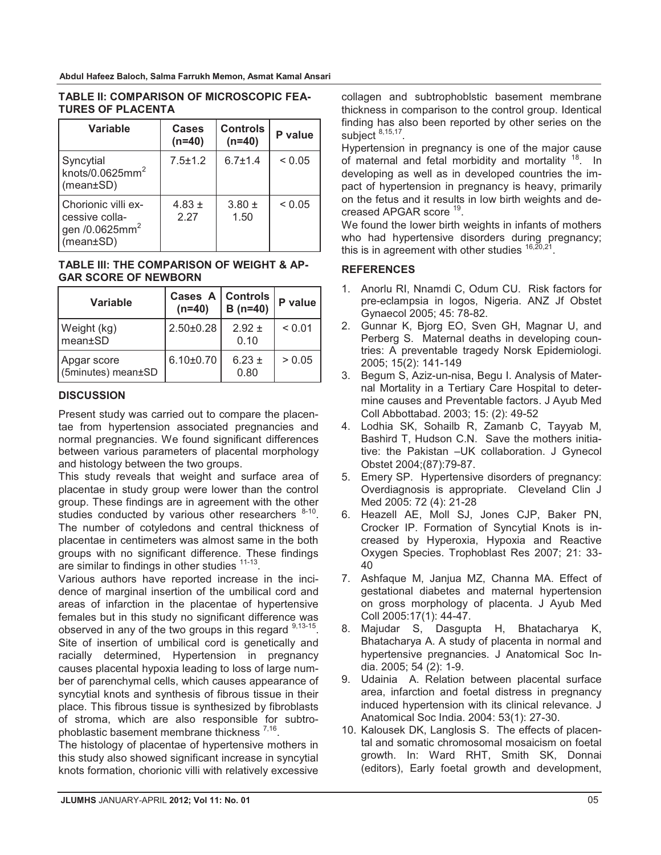| Variable                                                                               | Cases<br>$(n=40)$  | <b>Controls</b><br>$(n=40)$ | P value     |
|----------------------------------------------------------------------------------------|--------------------|-----------------------------|-------------|
| Syncytial<br>knots/0.0625 $mm2$<br>$(mean \pm SD)$                                     | $7.5 + 1.2$        | $6.7 + 1.4$                 | ${}_{0.05}$ |
| Chorionic villi ex-<br>cessive colla-<br>gen /0.0625mm <sup>2</sup><br>$(mean \pm SD)$ | 4.83 $\pm$<br>2 27 | $3.80 \pm$<br>1.50          | ${}_{0.05}$ |

#### **TABLE II: COMPARISON OF MICROSCOPIC FEA-TURES OF PLACENTA**

#### **TABLE III: THE COMPARISON OF WEIGHT & AP-GAR SCORE OF NEWBORN**

| Variable                          | Cases A   Controls<br>$(n=40)$ | $B(n=40)$          | P value     |
|-----------------------------------|--------------------------------|--------------------|-------------|
| Weight (kg)<br>mean±SD            | $2.50 \pm 0.28$                | $2.92 \pm$<br>0.10 | ${}_{0.01}$ |
| Apgar score<br>(5minutes) mean±SD | $6.10 \pm 0.70$                | $6.23 \pm$<br>0.80 | > 0.05      |

# **DISCUSSION**

Present study was carried out to compare the placentae from hypertension associated pregnancies and normal pregnancies. We found significant differences between various parameters of placental morphology and histology between the two groups.

This study reveals that weight and surface area of placentae in study group were lower than the control group. These findings are in agreement with the other studies conducted by various other researchers  $8-10$ . The number of cotyledons and central thickness of placentae in centimeters was almost same in the both groups with no significant difference. These findings are similar to findings in other studies  $11-13$ .

Various authors have reported increase in the incidence of marginal insertion of the umbilical cord and areas of infarction in the placentae of hypertensive females but in this study no significant difference was observed in any of the two groups in this regard  $9,13-15$ . Site of insertion of umbilical cord is genetically and racially determined, Hypertension in pregnancy causes placental hypoxia leading to loss of large number of parenchymal cells, which causes appearance of syncytial knots and synthesis of fibrous tissue in their place. This fibrous tissue is synthesized by fibroblasts of stroma, which are also responsible for subtrophoblastic basement membrane thickness 7,16.

The histology of placentae of hypertensive mothers in this study also showed significant increase in syncytial knots formation, chorionic villi with relatively excessive

collagen and subtrophoblstic basement membrane thickness in comparison to the control group. Identical finding has also been reported by other series on the subject 8,15,17.

Hypertension in pregnancy is one of the major cause of maternal and fetal morbidity and mortality <sup>18</sup>. In developing as well as in developed countries the impact of hypertension in pregnancy is heavy, primarily on the fetus and it results in low birth weights and decreased APGAR score 19.

We found the lower birth weights in infants of mothers who had hypertensive disorders during pregnancy; this is in agreement with other studies  $16,20,21$ .

# **REFERENCES**

- 1. Anorlu RI, Nnamdi C, Odum CU. Risk factors for pre-eclampsia in logos, Nigeria. ANZ Jf Obstet Gynaecol 2005; 45: 78-82.
- 2. Gunnar K, Bjorg EO, Sven GH, Magnar U, and Perberg S. Maternal deaths in developing countries: A preventable tragedy Norsk Epidemiologi. 2005; 15(2): 141-149
- 3. Begum S, Aziz-un-nisa, Begu I. Analysis of Maternal Mortality in a Tertiary Care Hospital to determine causes and Preventable factors. J Ayub Med Coll Abbottabad. 2003; 15: (2): 49-52
- 4. Lodhia SK, Sohailb R, Zamanb C, Tayyab M, Bashird T, Hudson C.N. Save the mothers initiative: the Pakistan –UK collaboration. J Gynecol Obstet 2004;(87):79-87.
- 5. Emery SP. Hypertensive disorders of pregnancy: Overdiagnosis is appropriate. Cleveland Clin J Med 2005: 72 (4): 21-28
- 6. Heazell AE, Moll SJ, Jones CJP, Baker PN, Crocker IP. Formation of Syncytial Knots is increased by Hyperoxia, Hypoxia and Reactive Oxygen Species. Trophoblast Res 2007; 21: 33- 40
- 7. Ashfaque M, Janjua MZ, Channa MA. Effect of gestational diabetes and maternal hypertension on gross morphology of placenta. J Ayub Med Coll 2005:17(1): 44-47.
- 8. Majudar S, Dasgupta H, Bhatacharya K, Bhatacharya A. A study of placenta in normal and hypertensive pregnancies. J Anatomical Soc India. 2005; 54 (2): 1-9.
- 9. Udainia A. Relation between placental surface area, infarction and foetal distress in pregnancy induced hypertension with its clinical relevance. J Anatomical Soc India. 2004: 53(1): 27-30.
- 10. Kalousek DK, Langlosis S. The effects of placental and somatic chromosomal mosaicism on foetal growth. In: Ward RHT, Smith SK, Donnai (editors), Early foetal growth and development,